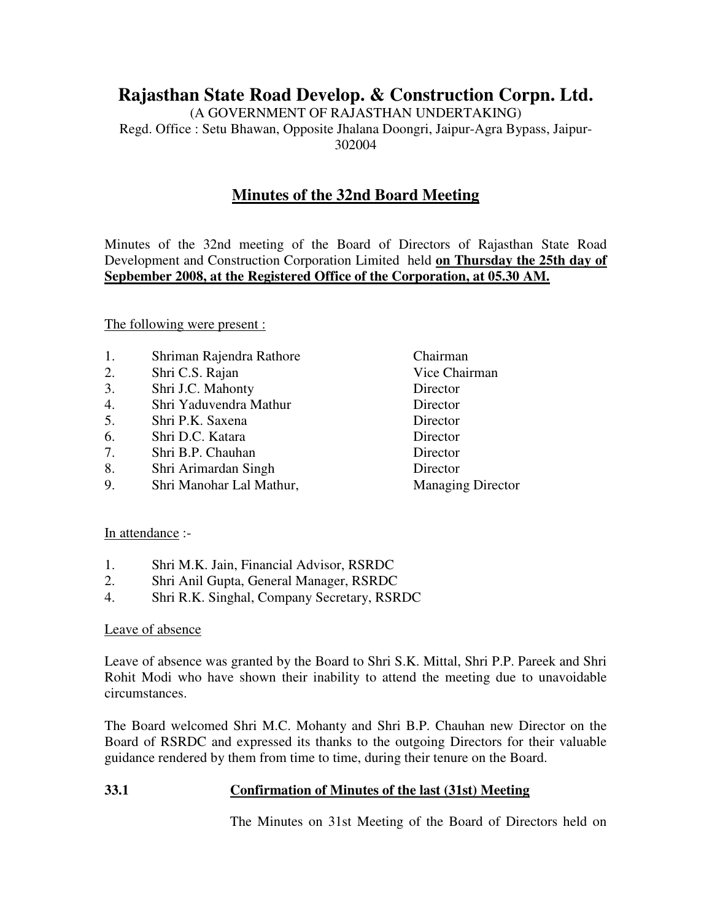# **Rajasthan State Road Develop. & Construction Corpn. Ltd.**

(A GOVERNMENT OF RAJASTHAN UNDERTAKING) Regd. Office : Setu Bhawan, Opposite Jhalana Doongri, Jaipur-Agra Bypass, Jaipur-302004

## **Minutes of the 32nd Board Meeting**

Minutes of the 32nd meeting of the Board of Directors of Rajasthan State Road Development and Construction Corporation Limited held **on Thursday the 25th day of Sepbember 2008, at the Registered Office of the Corporation, at 05.30 AM.**

The following were present :

- 1. Shriman Rajendra Rathore Chairman
- 2. Shri C.S. Rajan Vice Chairman
- 3. Shri J.C. Mahonty Director
- 4. Shri Yaduvendra Mathur Director
- 5. Shri P.K. Saxena Director
- 6. Shri D.C. Katara Director
- 7. Shri B.P. Chauhan Director
- 8. Shri Arimardan Singh Director
- 9. Shri Manohar Lal Mathur, Managing Director

#### In attendance :-

- 1. Shri M.K. Jain, Financial Advisor, RSRDC
- 2. Shri Anil Gupta, General Manager, RSRDC
- 4. Shri R.K. Singhal, Company Secretary, RSRDC

#### Leave of absence

Leave of absence was granted by the Board to Shri S.K. Mittal, Shri P.P. Pareek and Shri Rohit Modi who have shown their inability to attend the meeting due to unavoidable circumstances.

The Board welcomed Shri M.C. Mohanty and Shri B.P. Chauhan new Director on the Board of RSRDC and expressed its thanks to the outgoing Directors for their valuable guidance rendered by them from time to time, during their tenure on the Board.

#### **33.1 Confirmation of Minutes of the last (31st) Meeting**

The Minutes on 31st Meeting of the Board of Directors held on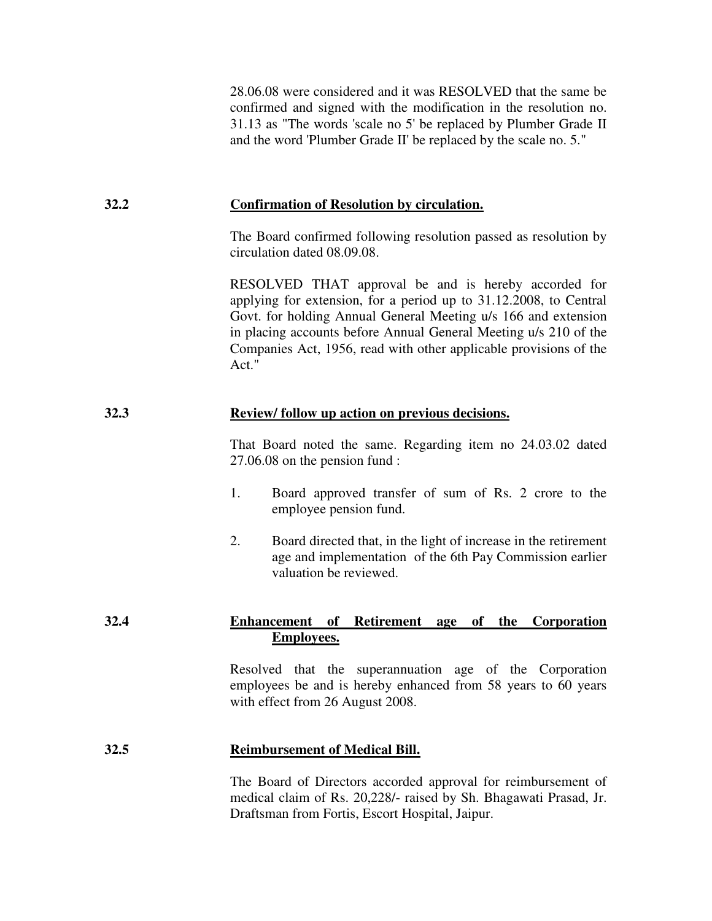28.06.08 were considered and it was RESOLVED that the same be confirmed and signed with the modification in the resolution no. 31.13 as "The words 'scale no 5' be replaced by Plumber Grade II and the word 'Plumber Grade II' be replaced by the scale no. 5."

## **32.2 Confirmation of Resolution by circulation.**

 The Board confirmed following resolution passed as resolution by circulation dated 08.09.08.

 RESOLVED THAT approval be and is hereby accorded for applying for extension, for a period up to 31.12.2008, to Central Govt. for holding Annual General Meeting u/s 166 and extension in placing accounts before Annual General Meeting u/s 210 of the Companies Act, 1956, read with other applicable provisions of the Act."

## **32.3 Review/ follow up action on previous decisions.**

 That Board noted the same. Regarding item no 24.03.02 dated 27.06.08 on the pension fund :

- 1. Board approved transfer of sum of Rs. 2 crore to the employee pension fund.
- 2. Board directed that, in the light of increase in the retirement age and implementation of the 6th Pay Commission earlier valuation be reviewed.

## **32.4 Enhancement of Retirement age of the Corporation Employees.**

 Resolved that the superannuation age of the Corporation employees be and is hereby enhanced from 58 years to 60 years with effect from 26 August 2008.

## **32.5 Reimbursement of Medical Bill.**

 The Board of Directors accorded approval for reimbursement of medical claim of Rs. 20,228/- raised by Sh. Bhagawati Prasad, Jr. Draftsman from Fortis, Escort Hospital, Jaipur.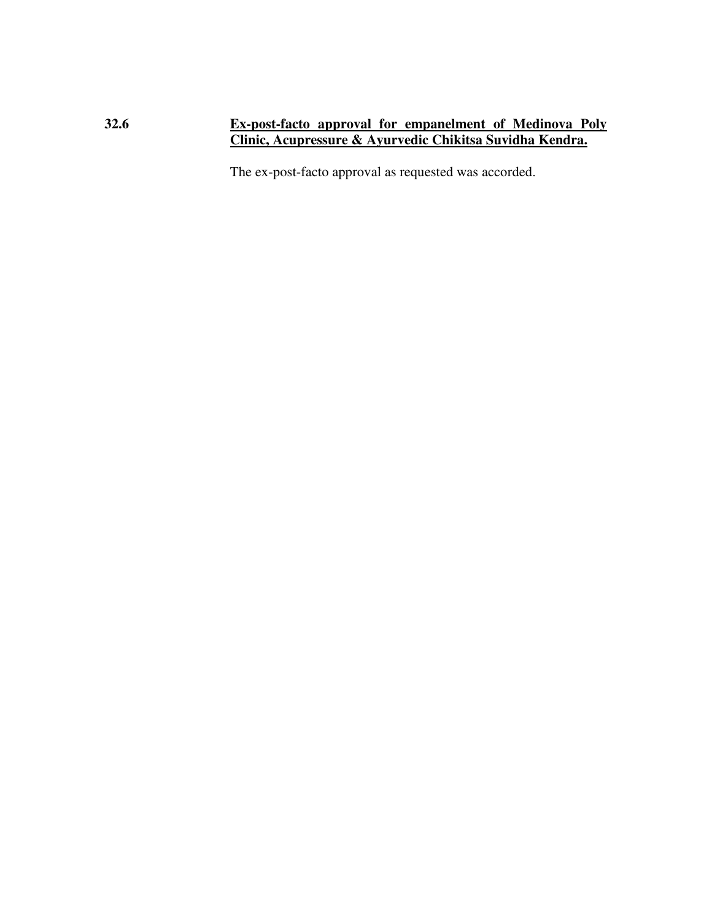#### **32.6 Ex-post-facto approval for empanelment of Medinova Poly Clinic, Acupressure & Ayurvedic Chikitsa Suvidha Kendra.**

The ex-post-facto approval as requested was accorded.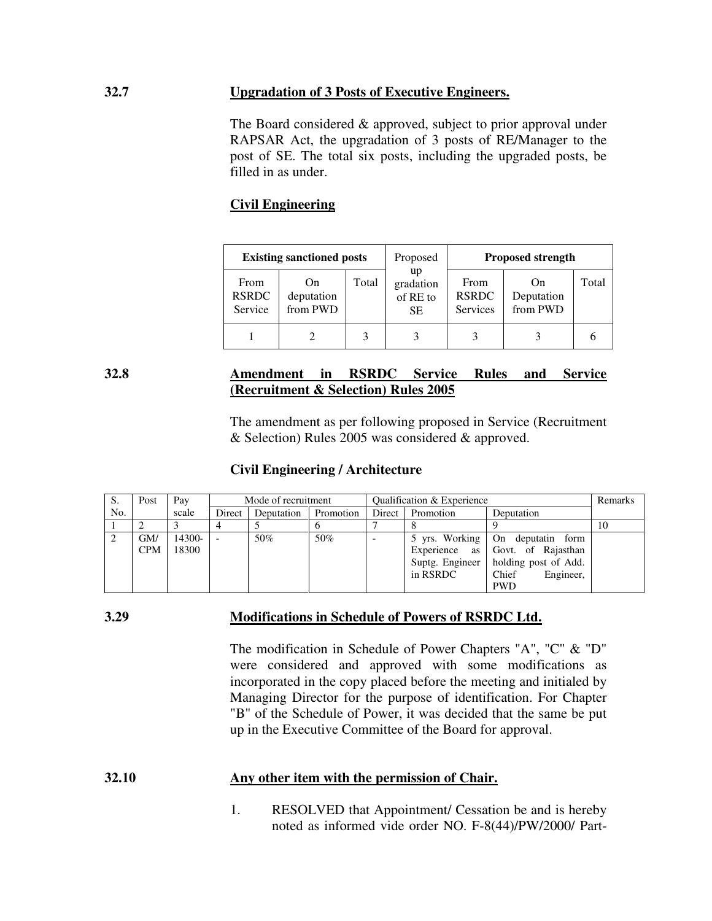#### **32.7 Upgradation of 3 Posts of Executive Engineers.**

 The Board considered & approved, subject to prior approval under RAPSAR Act, the upgradation of 3 posts of RE/Manager to the post of SE. The total six posts, including the upgraded posts, be filled in as under.

## **Civil Engineering**

| <b>Existing sanctioned posts</b> |                                          |       | Proposed                           | <b>Proposed strength</b>         |                                       |       |
|----------------------------------|------------------------------------------|-------|------------------------------------|----------------------------------|---------------------------------------|-------|
| From<br><b>RSRDC</b><br>Service  | O <sub>n</sub><br>deputation<br>from PWD | Total | up<br>gradation<br>of RE to<br>SE. | From<br><b>RSRDC</b><br>Services | $_{\rm On}$<br>Deputation<br>from PWD | Total |
|                                  |                                          |       |                                    |                                  |                                       |       |

## **32.8 Amendment in RSRDC Service Rules and Service (Recruitment & Selection) Rules 2005**

 The amendment as per following proposed in Service (Recruitment & Selection) Rules 2005 was considered & approved.

#### **Civil Engineering / Architecture**

| S.  | Post       | Pay    | Mode of recruitment |            | Qualification & Experience |        |                | Remarks                                            |    |
|-----|------------|--------|---------------------|------------|----------------------------|--------|----------------|----------------------------------------------------|----|
| No. |            | scale  | Direct              | Deputation | Promotion                  | Direct | Promotion      | Deputation                                         |    |
|     |            |        |                     |            |                            |        |                |                                                    | 10 |
|     | GM/        | 14300- |                     | 50%        | 50%                        |        | 5 yrs. Working | $\blacksquare$ On $\blacksquare$<br>deputatin form |    |
|     | <b>CPM</b> | 18300  |                     |            |                            |        | Experience as  | Govt. of Rajasthan                                 |    |
|     |            |        |                     |            |                            |        |                | Suptg. Engineer   holding post of Add.             |    |
|     |            |        |                     |            |                            |        | in RSRDC       | Chief<br>Engineer,                                 |    |
|     |            |        |                     |            |                            |        |                | <b>PWD</b>                                         |    |

#### **3.29 Modifications in Schedule of Powers of RSRDC Ltd.**

 The modification in Schedule of Power Chapters "A", "C" & "D" were considered and approved with some modifications as incorporated in the copy placed before the meeting and initialed by Managing Director for the purpose of identification. For Chapter "B" of the Schedule of Power, it was decided that the same be put up in the Executive Committee of the Board for approval.

#### **32.10 Any other item with the permission of Chair.**

 1. RESOLVED that Appointment/ Cessation be and is hereby noted as informed vide order NO. F-8(44)/PW/2000/ Part-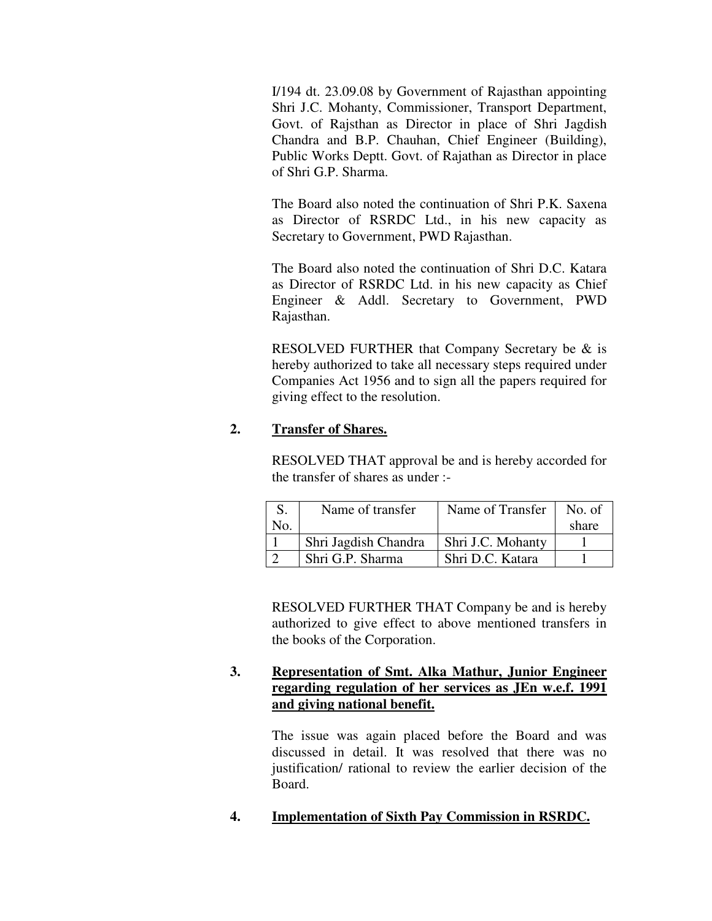I/194 dt. 23.09.08 by Government of Rajasthan appointing Shri J.C. Mohanty, Commissioner, Transport Department, Govt. of Rajsthan as Director in place of Shri Jagdish Chandra and B.P. Chauhan, Chief Engineer (Building), Public Works Deptt. Govt. of Rajathan as Director in place of Shri G.P. Sharma.

 The Board also noted the continuation of Shri P.K. Saxena as Director of RSRDC Ltd., in his new capacity as Secretary to Government, PWD Rajasthan.

 The Board also noted the continuation of Shri D.C. Katara as Director of RSRDC Ltd. in his new capacity as Chief Engineer & Addl. Secretary to Government, PWD Rajasthan.

 RESOLVED FURTHER that Company Secretary be & is hereby authorized to take all necessary steps required under Companies Act 1956 and to sign all the papers required for giving effect to the resolution.

## **2. Transfer of Shares.**

 RESOLVED THAT approval be and is hereby accorded for the transfer of shares as under :-

|     | Name of transfer     | Name of Transfer  | No. of |
|-----|----------------------|-------------------|--------|
| No. |                      |                   | share  |
|     | Shri Jagdish Chandra | Shri J.C. Mohanty |        |
|     | Shri G.P. Sharma     | Shri D.C. Katara  |        |

 RESOLVED FURTHER THAT Company be and is hereby authorized to give effect to above mentioned transfers in the books of the Corporation.

## **3. Representation of Smt. Alka Mathur, Junior Engineer regarding regulation of her services as JEn w.e.f. 1991 and giving national benefit.**

 The issue was again placed before the Board and was discussed in detail. It was resolved that there was no justification/ rational to review the earlier decision of the Board.

**4. Implementation of Sixth Pay Commission in RSRDC.**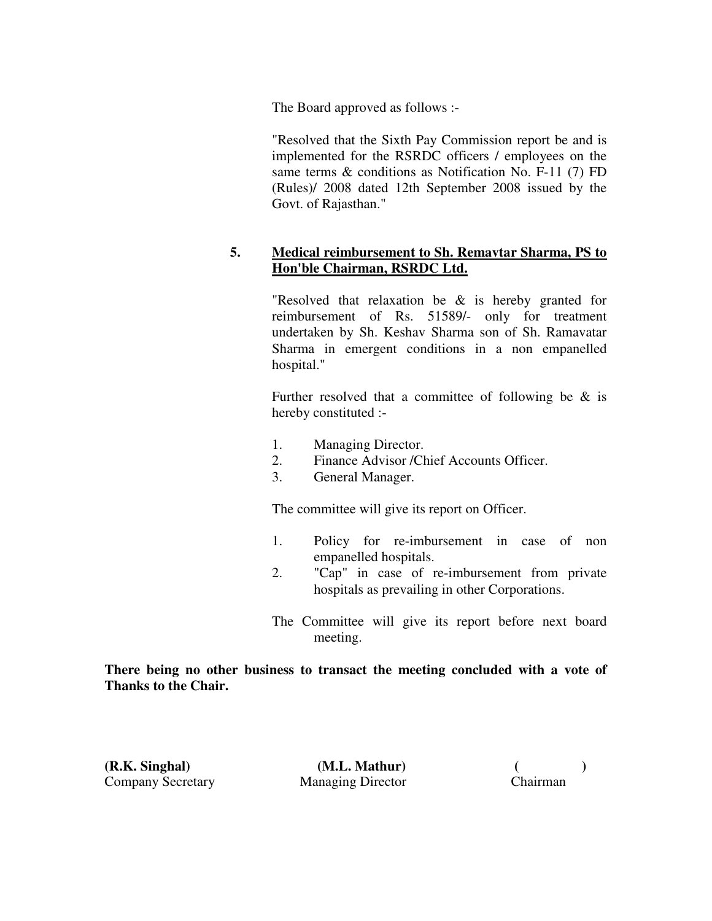The Board approved as follows :-

 "Resolved that the Sixth Pay Commission report be and is implemented for the RSRDC officers / employees on the same terms & conditions as Notification No. F-11 (7) FD (Rules)/ 2008 dated 12th September 2008 issued by the Govt. of Rajasthan."

## **5. Medical reimbursement to Sh. Remavtar Sharma, PS to Hon'ble Chairman, RSRDC Ltd.**

 "Resolved that relaxation be & is hereby granted for reimbursement of Rs. 51589/- only for treatment undertaken by Sh. Keshav Sharma son of Sh. Ramavatar Sharma in emergent conditions in a non empanelled hospital."

Further resolved that a committee of following be  $\&$  is hereby constituted :-

- 1. Managing Director.
- 2. Finance Advisor /Chief Accounts Officer.
- 3. General Manager.

The committee will give its report on Officer.

- 1. Policy for re-imbursement in case of non empanelled hospitals.
- 2. "Cap" in case of re-imbursement from private hospitals as prevailing in other Corporations.
- The Committee will give its report before next board meeting.

**There being no other business to transact the meeting concluded with a vote of Thanks to the Chair.** 

**(R.K. Singhal) (M.L. Mathur) ( )**  Company Secretary Managing Director Chairman